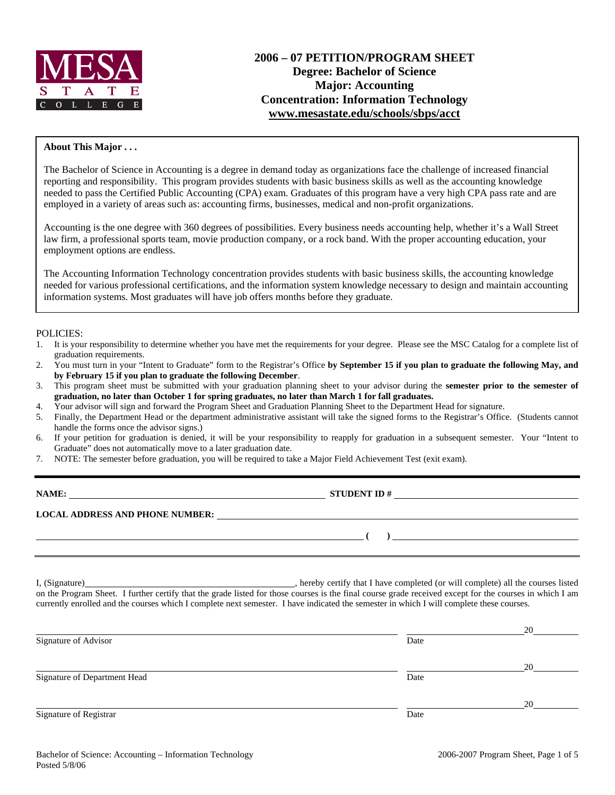

# **2006 – 07 PETITION/PROGRAM SHEET Degree: Bachelor of Science Major: Accounting Concentration: Information Technology www.mesastate.edu/schools/sbps/acct**

#### **About This Major . . .**

The Bachelor of Science in Accounting is a degree in demand today as organizations face the challenge of increased financial reporting and responsibility. This program provides students with basic business skills as well as the accounting knowledge needed to pass the Certified Public Accounting (CPA) exam. Graduates of this program have a very high CPA pass rate and are employed in a variety of areas such as: accounting firms, businesses, medical and non-profit organizations.

Accounting is the one degree with 360 degrees of possibilities. Every business needs accounting help, whether it's a Wall Street law firm, a professional sports team, movie production company, or a rock band. With the proper accounting education, your employment options are endless.

The Accounting Information Technology concentration provides students with basic business skills, the accounting knowledge needed for various professional certifications, and the information system knowledge necessary to design and maintain accounting information systems. Most graduates will have job offers months before they graduate.

#### POLICIES:

- 1. It is your responsibility to determine whether you have met the requirements for your degree. Please see the MSC Catalog for a complete list of graduation requirements.
- 2. You must turn in your "Intent to Graduate" form to the Registrar's Office **by September 15 if you plan to graduate the following May, and by February 15 if you plan to graduate the following December**.
- 3. This program sheet must be submitted with your graduation planning sheet to your advisor during the **semester prior to the semester of graduation, no later than October 1 for spring graduates, no later than March 1 for fall graduates.**
- 4. Your advisor will sign and forward the Program Sheet and Graduation Planning Sheet to the Department Head for signature.
- 5. Finally, the Department Head or the department administrative assistant will take the signed forms to the Registrar's Office. (Students cannot handle the forms once the advisor signs.)
- 6. If your petition for graduation is denied, it will be your responsibility to reapply for graduation in a subsequent semester. Your "Intent to Graduate" does not automatically move to a later graduation date.
- 7. NOTE: The semester before graduation, you will be required to take a Major Field Achievement Test (exit exam).

| NAME:                                  | <b>STUDENT ID #</b><br><u> 1980 - Jan Stein Stein Stein Stein Stein Stein Stein Stein Stein Stein Stein Stein Stein Stein Stein Stein S</u> |
|----------------------------------------|---------------------------------------------------------------------------------------------------------------------------------------------|
| <b>LOCAL ADDRESS AND PHONE NUMBER:</b> |                                                                                                                                             |
|                                        |                                                                                                                                             |

I, (Signature) , hereby certify that I have completed (or will complete) all the courses listed on the Program Sheet. I further certify that the grade listed for those courses is the final course grade received except for the courses in which I am currently enrolled and the courses which I complete next semester. I have indicated the semester in which I will complete these courses.

|                              |      | 20 |
|------------------------------|------|----|
| Signature of Advisor         | Date |    |
|                              |      | 20 |
| Signature of Department Head | Date |    |
|                              |      | 20 |
| Signature of Registrar       | Date |    |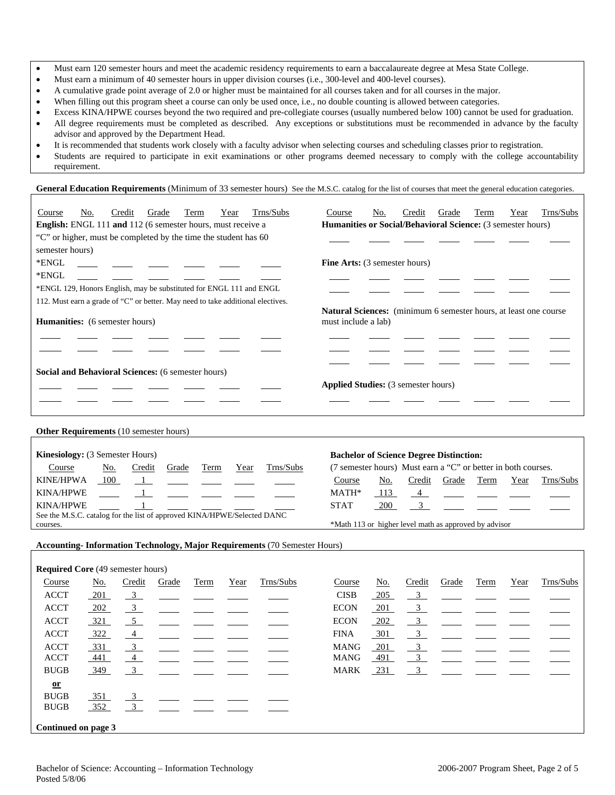- Must earn 120 semester hours and meet the academic residency requirements to earn a baccalaureate degree at Mesa State College.
- Must earn a minimum of 40 semester hours in upper division courses (i.e., 300-level and 400-level courses).
- A cumulative grade point average of 2.0 or higher must be maintained for all courses taken and for all courses in the major.
- When filling out this program sheet a course can only be used once, i.e., no double counting is allowed between categories.
- Excess KINA/HPWE courses beyond the two required and pre-collegiate courses (usually numbered below 100) cannot be used for graduation. • All degree requirements must be completed as described. Any exceptions or substitutions must be recommended in advance by the faculty advisor and approved by the Department Head.
- It is recommended that students work closely with a faculty advisor when selecting courses and scheduling classes prior to registration.
- Students are required to participate in exit examinations or other programs deemed necessary to comply with the college accountability requirement.

General Education Requirements (Minimum of 33 semester hours) See the M.S.C. catalog for the list of courses that meet the general education categories.

| Course                                                             | No. | Credit | Grade  | Term  | Year                                                                                           | Trns/Subs                                                                       | Course                                     | No.                                                                | Credit | Grade                                                                                                           | Term | Year | Trns/Subs |  |
|--------------------------------------------------------------------|-----|--------|--------|-------|------------------------------------------------------------------------------------------------|---------------------------------------------------------------------------------|--------------------------------------------|--------------------------------------------------------------------|--------|-----------------------------------------------------------------------------------------------------------------|------|------|-----------|--|
| <b>English:</b> ENGL 111 and 112 (6 semester hours, must receive a |     |        |        |       |                                                                                                |                                                                                 |                                            | <b>Humanities or Social/Behavioral Science:</b> (3 semester hours) |        |                                                                                                                 |      |      |           |  |
|                                                                    |     |        |        |       | "C" or higher, must be completed by the time the student has 60                                |                                                                                 |                                            |                                                                    |        |                                                                                                                 |      |      |           |  |
| semester hours)                                                    |     |        |        |       |                                                                                                |                                                                                 |                                            |                                                                    |        |                                                                                                                 |      |      |           |  |
| *ENGL                                                              |     |        |        |       |                                                                                                |                                                                                 | <b>Fine Arts:</b> (3 semester hours)       |                                                                    |        |                                                                                                                 |      |      |           |  |
| *ENGL                                                              |     |        |        |       |                                                                                                |                                                                                 |                                            |                                                                    |        |                                                                                                                 |      |      |           |  |
|                                                                    |     |        |        |       | *ENGL 129, Honors English, may be substituted for ENGL 111 and ENGL                            |                                                                                 |                                            |                                                                    |        |                                                                                                                 |      |      |           |  |
|                                                                    |     |        |        |       |                                                                                                | 112. Must earn a grade of "C" or better. May need to take additional electives. |                                            |                                                                    |        |                                                                                                                 |      |      |           |  |
| <b>Humanities:</b> (6 semester hours)                              |     |        |        |       | <b>Natural Sciences:</b> (minimum 6 semester hours, at least one course<br>must include a lab) |                                                                                 |                                            |                                                                    |        |                                                                                                                 |      |      |           |  |
| Social and Behavioral Sciences: (6 semester hours)                 |     |        |        |       |                                                                                                |                                                                                 | <b>Applied Studies:</b> (3 semester hours) |                                                                    |        |                                                                                                                 |      |      |           |  |
|                                                                    |     |        |        |       |                                                                                                |                                                                                 |                                            |                                                                    |        |                                                                                                                 |      |      |           |  |
| <b>Other Requirements</b> (10 semester hours)                      |     |        |        |       |                                                                                                |                                                                                 |                                            |                                                                    |        |                                                                                                                 |      |      |           |  |
| <b>Kinesiology:</b> (3 Semester Hours)<br>Course                   |     | No.    | Credit | Grade | Term                                                                                           | Trns/Subs<br>Year                                                               |                                            |                                                                    |        | <b>Bachelor of Science Degree Distinction:</b><br>(7 semester hours) Must earn a "C" or better in both courses. |      |      |           |  |
| <b>KINE/HPWA</b>                                                   |     | 100    |        |       |                                                                                                |                                                                                 | Course                                     | No.                                                                | Credit | Grade                                                                                                           | Term | Year | Trns/Subs |  |

KINA/HPWE 1 STAT 200 See the M.S.C. catalog for the list of approved KINA/HPWE/Selected DANC courses. The courses of the courses of the courses of the courses. The courses of the courses of the course of the course of the course of the course of the course of the course of the course of the course of the course of

#### **Accounting- Information Technology, Major Requirements** (70 Semester Hours)

KINA/HPWE  $\frac{1}{\sqrt{1-\frac{1}{\sqrt{1-\frac{1}{\sqrt{1-\frac{1}{\sqrt{1-\frac{1}{\sqrt{1-\frac{1}{\sqrt{1-\frac{1}{\sqrt{1-\frac{1}{\sqrt{1-\frac{1}{\sqrt{1-\frac{1}{\sqrt{1-\frac{1}{\sqrt{1-\frac{1}{\sqrt{1-\frac{1}{\sqrt{1-\frac{1}{\sqrt{1-\frac{1}{\sqrt{1-\frac{1}{\sqrt{1-\frac{1}{\sqrt{1-\frac{1}{\sqrt{1-\frac{1}{\sqrt{1-\frac{1}{\sqrt{1-\frac{1}{\sqrt{1-\frac{1}{\sqrt{1-\frac{1}{\sqrt{1-\frac{$ 

| <b>Required Core</b> (49 semester hours) |            |                         |       |      |      |           |             |            |                           |       |      |      |           |
|------------------------------------------|------------|-------------------------|-------|------|------|-----------|-------------|------------|---------------------------|-------|------|------|-----------|
| Course                                   | <u>No.</u> | Credit                  | Grade | Term | Year | Trns/Subs | Course      | <u>No.</u> | Credit                    | Grade | Term | Year | Trns/Subs |
| <b>ACCT</b>                              | 201        | $\frac{3}{2}$           |       |      |      |           | <b>CISB</b> | $-205$     | $\overline{\phantom{0}3}$ |       |      |      |           |
| <b>ACCT</b>                              | 202        | $\overline{\mathbf{3}}$ |       |      |      |           | <b>ECON</b> | 201        | $\overline{\mathbf{3}}$   |       |      |      |           |
| <b>ACCT</b>                              | 321        | 5                       |       |      |      |           | <b>ECON</b> | $-202$     | $\frac{3}{2}$             |       |      |      |           |
| <b>ACCT</b>                              | 322        | $\overline{4}$          |       |      |      |           | <b>FINA</b> | $-301$     | $\frac{3}{2}$             |       |      |      |           |
| <b>ACCT</b>                              | 331        | $\overline{\mathbf{3}}$ |       |      |      |           | <b>MANG</b> | 201        | $\overline{\mathbf{3}}$   |       |      |      |           |
| <b>ACCT</b>                              | 441        | $\overline{4}$          |       |      |      |           | <b>MANG</b> | 491        | $\overline{3}$            |       |      |      |           |
| <b>BUGB</b>                              | 349        | $\overline{\mathbf{3}}$ |       |      |      |           | <b>MARK</b> | 231        | $\overline{\phantom{a}}$  |       |      |      |           |
| $\mathbf{or}$                            |            |                         |       |      |      |           |             |            |                           |       |      |      |           |
| <b>BUGB</b>                              | 351        | $\overline{3}$          |       |      |      |           |             |            |                           |       |      |      |           |
| <b>BUGB</b>                              | 352        | $\overline{3}$          |       |      |      |           |             |            |                           |       |      |      |           |
| Continued on page 3                      |            |                         |       |      |      |           |             |            |                           |       |      |      |           |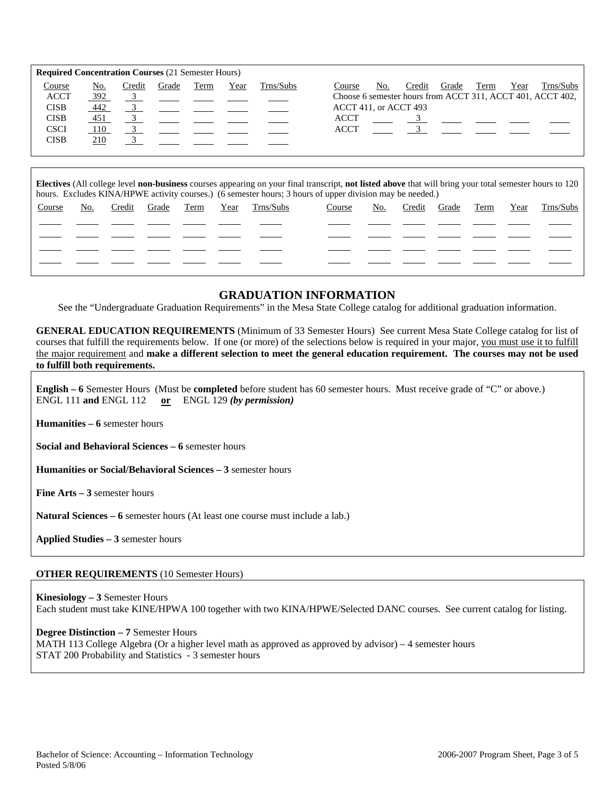| <b>Required Concentration Courses (21 Semester Hours)</b> |       |        |       |                                                         |      |           |                                                               |
|-----------------------------------------------------------|-------|--------|-------|---------------------------------------------------------|------|-----------|---------------------------------------------------------------|
| Course                                                    | No.   | Credit | Grade | Term                                                    | Year | Trns/Subs | Year<br>Trns/Subs<br>Term<br>No.<br>Credit<br>Grade<br>Course |
| <b>ACCT</b>                                               | 392   |        |       | $\frac{3}{2}$ $\frac{1}{2}$ $\frac{1}{2}$ $\frac{1}{2}$ |      |           | Choose 6 semester hours from ACCT 311, ACCT 401, ACCT 402,    |
| <b>CISB</b>                                               | 442   |        |       |                                                         |      |           | ACCT 411, or ACCT 493                                         |
| <b>CISB</b>                                               | 451   |        |       |                                                         |      |           | <b>ACCT</b><br>$\overline{3}$                                 |
| <b>CSCI</b>                                               | - 110 |        |       |                                                         |      |           | <b>ACCT</b>                                                   |
| <b>CISB</b>                                               | 210   |        |       |                                                         |      |           |                                                               |
|                                                           |       |        |       |                                                         |      |           |                                                               |

**Electives** (All college level **non-business** courses appearing on your final transcript, **not listed above** that will bring your total semester hours to 120 hours. Excludes KINA/HPWE activity courses.) (6 semester hours; 3 hours of upper division may be needed.)

| Course | No. | Credit | Grade | Term | <u>Year Trns/Subs</u> | Course | <u>No.</u> | Credit Grade Term |  | <u>Year Trns/Subs</u> |
|--------|-----|--------|-------|------|-----------------------|--------|------------|-------------------|--|-----------------------|
|        |     |        |       |      |                       |        |            |                   |  |                       |
|        |     |        |       |      |                       |        |            |                   |  |                       |
|        |     |        |       |      |                       |        |            |                   |  |                       |
|        |     |        |       |      |                       |        |            |                   |  |                       |
|        |     |        |       |      |                       |        |            |                   |  |                       |

# **GRADUATION INFORMATION**

See the "Undergraduate Graduation Requirements" in the Mesa State College catalog for additional graduation information.

**GENERAL EDUCATION REQUIREMENTS** (Minimum of 33 Semester Hours) See current Mesa State College catalog for list of courses that fulfill the requirements below. If one (or more) of the selections below is required in your major, you must use it to fulfill the major requirement and **make a different selection to meet the general education requirement. The courses may not be used to fulfill both requirements.**

**English – 6** Semester Hours (Must be **completed** before student has 60 semester hours. Must receive grade of "C" or above.) ENGL 111 **and** ENGL 112 **or** ENGL 129 *(by permission)*

**Humanities – 6** semester hours

**Social and Behavioral Sciences – 6** semester hours

**Humanities or Social/Behavioral Sciences – 3** semester hours

**Fine Arts – 3** semester hours

**Natural Sciences – 6** semester hours (At least one course must include a lab.)

**Applied Studies – 3** semester hours

### **OTHER REQUIREMENTS** (10 Semester Hours)

**Kinesiology – 3** Semester Hours Each student must take KINE/HPWA 100 together with two KINA/HPWE/Selected DANC courses. See current catalog for listing.

**Degree Distinction – 7** Semester Hours MATH 113 College Algebra (Or a higher level math as approved as approved by advisor) – 4 semester hours STAT 200 Probability and Statistics - 3 semester hours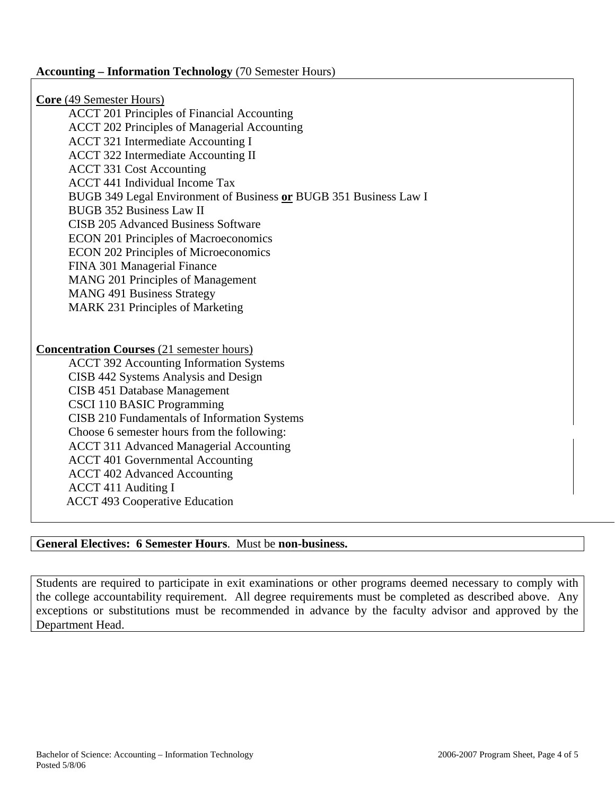### **Accounting – Information Technology** (70 Semester Hours)

**Core** (49 Semester Hours) ACCT 201 Principles of Financial Accounting ACCT 202 Principles of Managerial Accounting ACCT 321 Intermediate Accounting I ACCT 322 Intermediate Accounting II ACCT 331 Cost Accounting ACCT 441 Individual Income Tax BUGB 349 Legal Environment of Business **or** BUGB 351 Business Law I BUGB 352 Business Law II CISB 205 Advanced Business Software ECON 201 Principles of Macroeconomics ECON 202 Principles of Microeconomics FINA 301 Managerial Finance MANG 201 Principles of Management MANG 491 Business Strategy MARK 231 Principles of Marketing **Concentration Courses** (21 semester hours) ACCT 392 Accounting Information Systems CISB 442 Systems Analysis and Design CISB 451 Database Management CSCI 110 BASIC Programming CISB 210 Fundamentals of Information Systems Choose 6 semester hours from the following: ACCT 311 Advanced Managerial Accounting ACCT 401 Governmental Accounting ACCT 402 Advanced Accounting ACCT 411 Auditing I ACCT 493 Cooperative Education

### **General Electives: 6 Semester Hours**. Must be **non-business.**

Students are required to participate in exit examinations or other programs deemed necessary to comply with the college accountability requirement. All degree requirements must be completed as described above. Any exceptions or substitutions must be recommended in advance by the faculty advisor and approved by the Department Head.